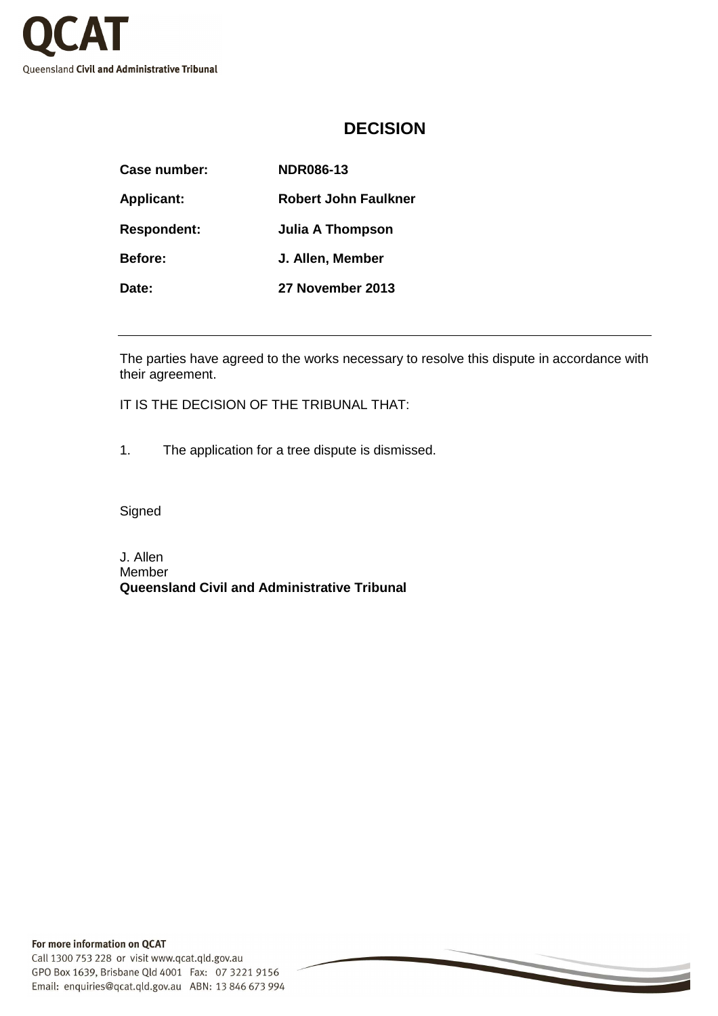

## **DECISION**

| Case number:       | <b>NDR086-13</b>        |
|--------------------|-------------------------|
| <b>Applicant:</b>  | Robert John Faulkner    |
| <b>Respondent:</b> | <b>Julia A Thompson</b> |
| <b>Before:</b>     | J. Allen, Member        |
| Date:              | 27 November 2013        |

The parties have agreed to the works necessary to resolve this dispute in accordance with their agreement.

IT IS THE DECISION OF THE TRIBUNAL THAT:

1. The application for a tree dispute is dismissed.

Signed

J. Allen Member **Queensland Civil and Administrative Tribunal**